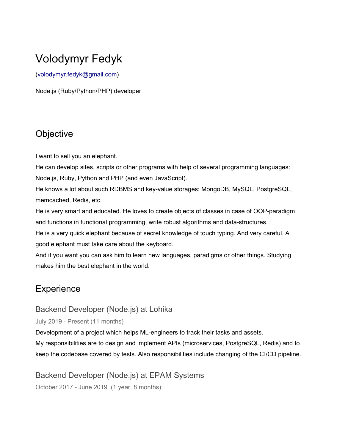# Volodymyr Fedyk

([volodymyr.fedyk@gmail.com](mailto:volodymyr.fedyk@gmail.com))

Node.js (Ruby/Python/PHP) developer

## **Objective**

I want to sell you an elephant.

He can develop sites, scripts or other programs with help of several programming languages: Node.js, Ruby, Python and PHP (and even JavaScript).

He knows a lot about such RDBMS and key-value storages: MongoDB, MySQL, PostgreSQL, memcached, Redis, etc.

He is very smart and educated. He loves to create objects of classes in case of OOP-paradigm and functions in functional programming, write robust algorithms and data-structures.

He is a very quick elephant because of secret knowledge of touch typing. And very careful. A good elephant must take care about the keyboard.

And if you want you can ask him to learn new languages, paradigms or other things. Studying makes him the best elephant in the world.

## **Experience**

#### Backend Developer (Node.js) at Lohika

July 2019 - Present (11 months)

Development of a project which helps ML-engineers to track their tasks and assets.

My responsibilities are to design and implement APIs (microservices, PostgreSQL, Redis) and to keep the codebase covered by tests. Also responsibilities include changing of the CI/CD pipeline.

Backend Developer (Node.js) at EPAM Systems

October 2017 - June 2019 (1 year, 8 months)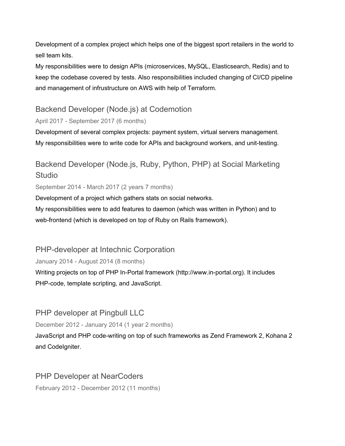Development of a complex project which helps one of the biggest sport retailers in the world to sell team kits.

My responsibilities were to design APIs (microservices, MySQL, Elasticsearch, Redis) and to keep the codebase covered by tests. Also responsibilities included changing of CI/CD pipeline and management of infrustructure on AWS with help of Terraform.

#### Backend Developer (Node.js) at Codemotion

#### April 2017 - September 2017 (6 months)

Development of several complex projects: payment system, virtual servers management. My responsibilities were to write code for APIs and background workers, and unit-testing.

## Backend Developer (Node.js, Ruby, Python, PHP) at Social Marketing Studio

September 2014 - March 2017 (2 years 7 months)

Development of a project which gathers stats on social networks.

My responsibilities were to add features to daemon (which was written in Python) and to web-frontend (which is developed on top of Ruby on Rails framework).

#### PHP-developer at Intechnic Corporation

January 2014 - August 2014 (8 months)

Writing projects on top of PHP In-Portal framework (http://www.in-portal.org). It includes PHP-code, template scripting, and JavaScript.

## PHP developer at Pingbull LLC

December 2012 - January 2014 (1 year 2 months)

JavaScript and PHP code-writing on top of such frameworks as Zend Framework 2, Kohana 2 and CodeIgniter.

## PHP Developer at NearCoders

February 2012 - December 2012 (11 months)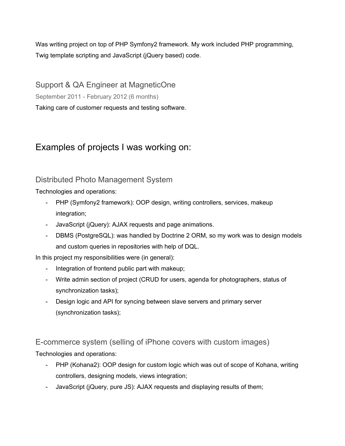Was writing project on top of PHP Symfony2 framework. My work included PHP programming, Twig template scripting and JavaScript (jQuery based) code.

Support & QA Engineer at MagneticOne September 2011 - February 2012 (6 months) Taking care of customer requests and testing software.

## Examples of projects I was working on:

#### Distributed Photo Management System

Technologies and operations:

- PHP (Symfony2 framework): OOP design, writing controllers, services, makeup integration;
- JavaScript (jQuery): AJAX requests and page animations.
- DBMS (PostgreSQL): was handled by Doctrine 2 ORM, so my work was to design models and custom queries in repositories with help of DQL.

In this project my responsibilities were (in general):

- Integration of frontend public part with makeup;
- Write admin section of project (CRUD for users, agenda for photographers, status of synchronization tasks);
- Design logic and API for syncing between slave servers and primary server (synchronization tasks);

E-commerce system (selling of iPhone covers with custom images)

Technologies and operations:

- PHP (Kohana2): OOP design for custom logic which was out of scope of Kohana, writing controllers, designing models, views integration;
- JavaScript (jQuery, pure JS): AJAX requests and displaying results of them;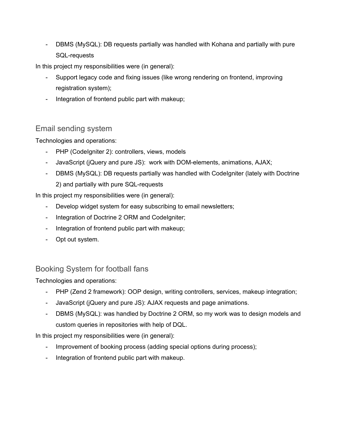DBMS (MySQL): DB requests partially was handled with Kohana and partially with pure SQL-requests

In this project my responsibilities were (in general):

- Support legacy code and fixing issues (like wrong rendering on frontend, improving registration system);
- Integration of frontend public part with makeup;

#### Email sending system

Technologies and operations:

- PHP (CodeIgniter 2): controllers, views, models
- JavaScript (jQuery and pure JS): work with DOM-elements, animations, AJAX;
- DBMS (MySQL): DB requests partially was handled with Codelgniter (lately with Doctrine 2) and partially with pure SQL-requests

In this project my responsibilities were (in general):

- Develop widget system for easy subscribing to email newsletters;
- Integration of Doctrine 2 ORM and CodeIgniter;
- Integration of frontend public part with makeup;
- Opt out system.

#### Booking System for football fans

Technologies and operations:

- PHP (Zend 2 framework): OOP design, writing controllers, services, makeup integration;
- JavaScript (jQuery and pure JS): AJAX requests and page animations.
- DBMS (MySQL): was handled by Doctrine 2 ORM, so my work was to design models and custom queries in repositories with help of DQL.

In this project my responsibilities were (in general):

- Improvement of booking process (adding special options during process);
- Integration of frontend public part with makeup.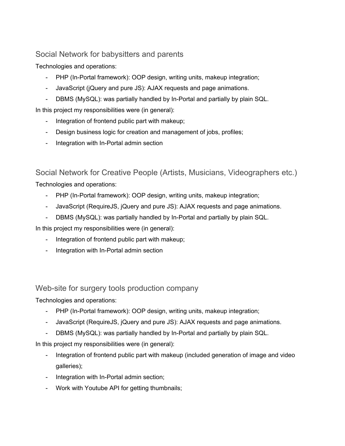#### Social Network for babysitters and parents

Technologies and operations:

- PHP (In-Portal framework): OOP design, writing units, makeup integration;
- JavaScript (jQuery and pure JS): AJAX requests and page animations.
- DBMS (MySQL): was partially handled by In-Portal and partially by plain SQL.

In this project my responsibilities were (in general):

- Integration of frontend public part with makeup;
- Design business logic for creation and management of jobs, profiles;
- Integration with In-Portal admin section

## Social Network for Creative People (Artists, Musicians, Videographers etc.)

Technologies and operations:

- PHP (In-Portal framework): OOP design, writing units, makeup integration;
- JavaScript (RequireJS, jQuery and pure JS): AJAX requests and page animations.
- DBMS (MySQL): was partially handled by In-Portal and partially by plain SQL.

In this project my responsibilities were (in general):

- Integration of frontend public part with makeup;
- Integration with In-Portal admin section

#### Web-site for surgery tools production company

Technologies and operations:

- PHP (In-Portal framework): OOP design, writing units, makeup integration;
- JavaScript (RequireJS, jQuery and pure JS): AJAX requests and page animations.
- DBMS (MySQL): was partially handled by In-Portal and partially by plain SQL.

In this project my responsibilities were (in general):

- Integration of frontend public part with makeup (included generation of image and video galleries);
- Integration with In-Portal admin section;
- Work with Youtube API for getting thumbnails;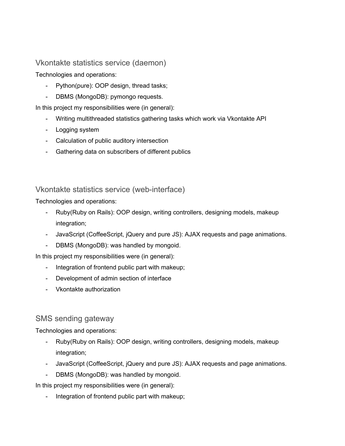#### Vkontakte statistics service (daemon)

Technologies and operations:

- Python(pure): OOP design, thread tasks;
- DBMS (MongoDB): pymongo requests.

In this project my responsibilities were (in general):

- Writing multithreaded statistics gathering tasks which work via Vkontakte API
- Logging system
- Calculation of public auditory intersection
- Gathering data on subscribers of different publics

#### Vkontakte statistics service (web-interface)

Technologies and operations:

- Ruby(Ruby on Rails): OOP design, writing controllers, designing models, makeup integration;
- JavaScript (CoffeeScript, jQuery and pure JS): AJAX requests and page animations.
- DBMS (MongoDB): was handled by mongoid.

In this project my responsibilities were (in general):

- Integration of frontend public part with makeup;
- Development of admin section of interface
- Vkontakte authorization

#### SMS sending gateway

Technologies and operations:

- Ruby(Ruby on Rails): OOP design, writing controllers, designing models, makeup integration;
- JavaScript (CoffeeScript, jQuery and pure JS): AJAX requests and page animations.
- DBMS (MongoDB): was handled by mongoid.

In this project my responsibilities were (in general):

- Integration of frontend public part with makeup;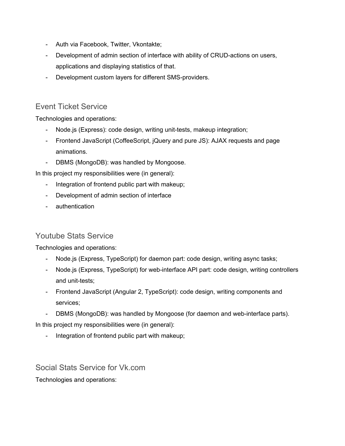- Auth via Facebook, Twitter, Vkontakte;
- Development of admin section of interface with ability of CRUD-actions on users, applications and displaying statistics of that.
- Development custom layers for different SMS-providers.

#### Event Ticket Service

Technologies and operations:

- Node.js (Express): code design, writing unit-tests, makeup integration;
- Frontend JavaScript (CoffeeScript, jQuery and pure JS): AJAX requests and page animations.
- DBMS (MongoDB): was handled by Mongoose.

In this project my responsibilities were (in general):

- Integration of frontend public part with makeup;
- Development of admin section of interface
- authentication

#### Youtube Stats Service

Technologies and operations:

- Node.js (Express, TypeScript) for daemon part: code design, writing async tasks;
- Node.js (Express, TypeScript) for web-interface API part: code design, writing controllers and unit-tests;
- Frontend JavaScript (Angular 2, TypeScript): code design, writing components and services;
- DBMS (MongoDB): was handled by Mongoose (for daemon and web-interface parts).

In this project my responsibilities were (in general):

- Integration of frontend public part with makeup;

Social Stats Service for Vk.com

Technologies and operations: